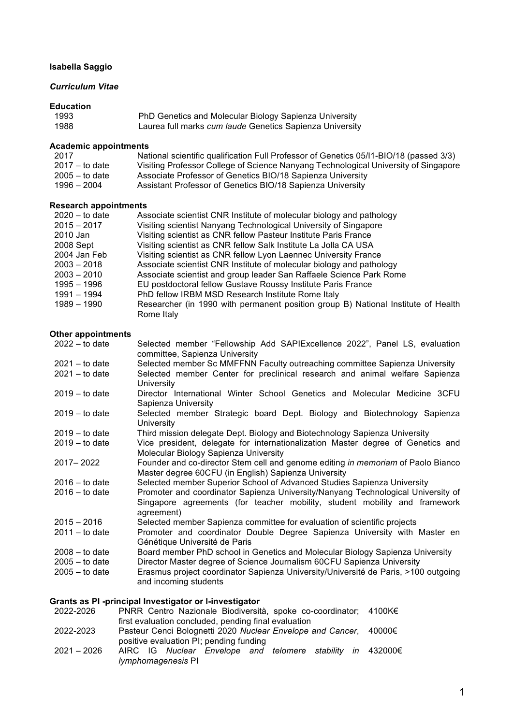# **Isabella Saggio**

# *Curriculum Vitae*

## **Education**

| 1993 | PhD Genetics and Molecular Biology Sapienza University   |
|------|----------------------------------------------------------|
| 1988 | Laurea full marks cum laude Genetics Sapienza University |

# **Academic appointments**

| 2017             | National scientific qualification Full Professor of Genetics 05/11-BIO/18 (passed 3/3) |
|------------------|----------------------------------------------------------------------------------------|
| $2017 -$ to date | Visiting Professor College of Science Nanyang Technological University of Singapore    |
| $2005 -$ to date | Associate Professor of Genetics BIO/18 Sapienza University                             |
| 1996 – 2004      | Assistant Professor of Genetics BIO/18 Sapienza University                             |
|                  |                                                                                        |

#### **Research appointments**

| Associate scientist CNR Institute of molecular biology and pathology              |
|-----------------------------------------------------------------------------------|
| Visiting scientist Nanyang Technological University of Singapore                  |
| Visiting scientist as CNR fellow Pasteur Institute Paris France                   |
| Visiting scientist as CNR fellow Salk Institute La Jolla CA USA                   |
| Visiting scientist as CNR fellow Lyon Laennec University France                   |
| Associate scientist CNR Institute of molecular biology and pathology              |
| Associate scientist and group leader San Raffaele Science Park Rome               |
| EU postdoctoral fellow Gustave Roussy Institute Paris France                      |
| PhD fellow IRBM MSD Research Institute Rome Italy                                 |
| Researcher (in 1990 with permanent position group B) National Institute of Health |
| Rome Italy                                                                        |
|                                                                                   |

# **Other appointments**

| $2022 -$ to date | Selected member "Fellowship Add SAPIExcellence 2022", Panel LS, evaluation<br>committee, Sapienza University                                                                 |  |  |
|------------------|------------------------------------------------------------------------------------------------------------------------------------------------------------------------------|--|--|
| $2021 -$ to date | Selected member Sc MMFFNN Faculty outreaching committee Sapienza University                                                                                                  |  |  |
| $2021 -$ to date | Selected member Center for preclinical research and animal welfare Sapienza<br>University                                                                                    |  |  |
| $2019 -$ to date | Director International Winter School Genetics and Molecular Medicine 3CFU<br>Sapienza University                                                                             |  |  |
| $2019 -$ to date | Selected member Strategic board Dept. Biology and Biotechnology Sapienza<br>University                                                                                       |  |  |
| $2019 -$ to date | Third mission delegate Dept. Biology and Biotechnology Sapienza University                                                                                                   |  |  |
| $2019 -$ to date | Vice president, delegate for internationalization Master degree of Genetics and<br>Molecular Biology Sapienza University                                                     |  |  |
| 2017 - 2022      | Founder and co-director Stem cell and genome editing in memoriam of Paolo Bianco<br>Master degree 60CFU (in English) Sapienza University                                     |  |  |
| $2016 -$ to date | Selected member Superior School of Advanced Studies Sapienza University                                                                                                      |  |  |
| $2016 -$ to date | Promoter and coordinator Sapienza University/Nanyang Technological University of<br>Singapore agreements (for teacher mobility, student mobility and framework<br>agreement) |  |  |
| $2015 - 2016$    | Selected member Sapienza committee for evaluation of scientific projects                                                                                                     |  |  |
| $2011 -$ to date | Promoter and coordinator Double Degree Sapienza University with Master en<br>Génétique Université de Paris                                                                   |  |  |
| $2008 -$ to date | Board member PhD school in Genetics and Molecular Biology Sapienza University                                                                                                |  |  |
| $2005 -$ to date | Director Master degree of Science Journalism 60CFU Sapienza University                                                                                                       |  |  |
| $2005 -$ to date | Erasmus project coordinator Sapienza University/Université de Paris, >100 outgoing<br>and incoming students                                                                  |  |  |
|                  |                                                                                                                                                                              |  |  |

# **Grants as PI -principal Investigator or I-investigator**

| 2022-2026     | PNRR Centro Nazionale Biodiversità, spoke co-coordinator; 4100K€  |  |
|---------------|-------------------------------------------------------------------|--|
|               | first evaluation concluded, pending final evaluation              |  |
| 2022-2023     | Pasteur Cenci Bolognetti 2020 Nuclear Envelope and Cancer, 40000€ |  |
|               | positive evaluation PI; pending funding                           |  |
| $2021 - 2026$ | AIRC IG Nuclear Envelope and telomere stability in 432000€        |  |
|               | lymphomagenesis PI                                                |  |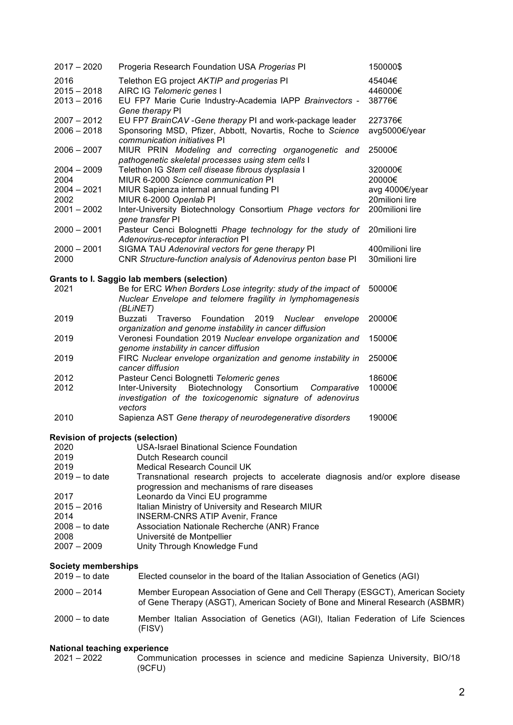| $2017 - 2020$                                   | Progeria Research Foundation USA Progerias PI                                                                                                                   | 150000\$                 |
|-------------------------------------------------|-----------------------------------------------------------------------------------------------------------------------------------------------------------------|--------------------------|
| 2016                                            | Telethon EG project AKTIP and progerias PI                                                                                                                      | 45404€                   |
| $2015 - 2018$                                   | AIRC IG Telomeric genes I                                                                                                                                       | 446000€                  |
| $2013 - 2016$                                   | EU FP7 Marie Curie Industry-Academia IAPP Brainvectors -                                                                                                        | 38776€                   |
|                                                 | Gene therapy PI                                                                                                                                                 |                          |
| $2007 - 2012$<br>$2006 - 2018$                  | EU FP7 BrainCAV - Gene therapy PI and work-package leader<br>Sponsoring MSD, Pfizer, Abbott, Novartis, Roche to Science                                         | 227376€<br>avg5000€/year |
|                                                 | communication initiatives PI                                                                                                                                    |                          |
| $2006 - 2007$                                   | MIUR PRIN Modeling and correcting organogenetic and                                                                                                             | 25000€                   |
|                                                 | pathogenetic skeletal processes using stem cells I                                                                                                              |                          |
| $2004 - 2009$                                   | Telethon IG Stem cell disease fibrous dysplasia I                                                                                                               | 320000€                  |
| 2004                                            | MIUR 6-2000 Science communication PI                                                                                                                            | 20000€                   |
| $2004 - 2021$                                   | MIUR Sapienza internal annual funding PI                                                                                                                        | avg 4000€/year           |
| 2002                                            | MIUR 6-2000 Openlab PI                                                                                                                                          | 20milioni lire           |
| $2001 - 2002$                                   | Inter-University Biotechnology Consortium Phage vectors for                                                                                                     | 200milioni lire          |
|                                                 | gene transfer PI                                                                                                                                                |                          |
| $2000 - 2001$                                   | Pasteur Cenci Bolognetti Phage technology for the study of<br>Adenovirus-receptor interaction PI                                                                | 20milioni lire           |
| $2000 - 2001$                                   | SIGMA TAU Adenoviral vectors for gene therapy PI                                                                                                                | 400milioni lire          |
| 2000                                            | CNR Structure-function analysis of Adenovirus penton base PI                                                                                                    | 30milioni lire           |
|                                                 |                                                                                                                                                                 |                          |
|                                                 | <b>Grants to I. Saggio lab members (selection)</b>                                                                                                              |                          |
| 2021                                            | Be for ERC When Borders Lose integrity: study of the impact of                                                                                                  | 50000€                   |
|                                                 | Nuclear Envelope and telomere fragility in lymphomagenesis                                                                                                      |                          |
|                                                 | (BLINET)                                                                                                                                                        |                          |
| 2019                                            | Foundation<br>2019<br>Buzzati<br>Traverso<br>Nuclear<br>envelope                                                                                                | 20000€                   |
| 2019                                            | organization and genome instability in cancer diffusion<br>Veronesi Foundation 2019 Nuclear envelope organization and                                           | 15000€                   |
|                                                 | genome instability in cancer diffusion                                                                                                                          |                          |
| 2019                                            | FIRC Nuclear envelope organization and genome instability in                                                                                                    | 25000€                   |
|                                                 | cancer diffusion                                                                                                                                                |                          |
| 2012                                            | Pasteur Cenci Bolognetti Telomeric genes                                                                                                                        | 18600€                   |
| 2012                                            | Biotechnology<br>Consortium<br>Inter-University<br>Comparative                                                                                                  | 10000€                   |
|                                                 | investigation of the toxicogenomic signature of adenovirus                                                                                                      |                          |
|                                                 | vectors                                                                                                                                                         |                          |
| 2010                                            | Sapienza AST Gene therapy of neurodegenerative disorders                                                                                                        | 19000€                   |
|                                                 |                                                                                                                                                                 |                          |
| <b>Revision of projects (selection)</b><br>2020 | <b>USA-Israel Binational Science Foundation</b>                                                                                                                 |                          |
| 2019                                            | Dutch Research council                                                                                                                                          |                          |
| 2019                                            | <b>Medical Research Council UK</b>                                                                                                                              |                          |
| $2019 -$ to date                                | Transnational research projects to accelerate diagnosis and/or explore disease                                                                                  |                          |
|                                                 | progression and mechanisms of rare diseases                                                                                                                     |                          |
| 2017                                            | Leonardo da Vinci EU programme                                                                                                                                  |                          |
| $2015 - 2016$                                   | Italian Ministry of University and Research MIUR                                                                                                                |                          |
| 2014                                            | <b>INSERM-CNRS ATIP Avenir, France</b>                                                                                                                          |                          |
| $2008 -$ to date                                | Association Nationale Recherche (ANR) France                                                                                                                    |                          |
| 2008                                            | Université de Montpellier                                                                                                                                       |                          |
| $2007 - 2009$                                   | Unity Through Knowledge Fund                                                                                                                                    |                          |
| <b>Society memberships</b>                      |                                                                                                                                                                 |                          |
| $2019 -$ to date                                | Elected counselor in the board of the Italian Association of Genetics (AGI)                                                                                     |                          |
|                                                 |                                                                                                                                                                 |                          |
| $2000 - 2014$                                   | Member European Association of Gene and Cell Therapy (ESGCT), American Society<br>of Gene Therapy (ASGT), American Society of Bone and Mineral Research (ASBMR) |                          |

2000 – to date Member Italian Association of Genetics (AGI), Italian Federation of Life Sciences (FISV)

# **National teaching experience**<br>2021 - 2022 Commun

Communication processes in science and medicine Sapienza University, BIO/18 (9CFU)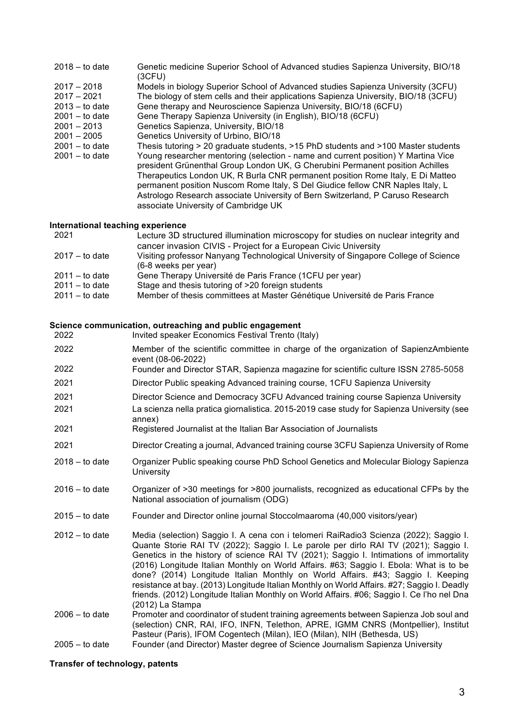| $2018 -$ to date | Genetic medicine Superior School of Advanced studies Sapienza University, BIO/18<br>(3CFU)                                                                                                                                                                                                                                                                                                                                                                       |
|------------------|------------------------------------------------------------------------------------------------------------------------------------------------------------------------------------------------------------------------------------------------------------------------------------------------------------------------------------------------------------------------------------------------------------------------------------------------------------------|
| $2017 - 2018$    | Models in biology Superior School of Advanced studies Sapienza University (3CFU)                                                                                                                                                                                                                                                                                                                                                                                 |
| $2017 - 2021$    | The biology of stem cells and their applications Sapienza University, BIO/18 (3CFU)                                                                                                                                                                                                                                                                                                                                                                              |
| $2013 -$ to date | Gene therapy and Neuroscience Sapienza University, BIO/18 (6CFU)                                                                                                                                                                                                                                                                                                                                                                                                 |
| $2001 -$ to date | Gene Therapy Sapienza University (in English), BIO/18 (6CFU)                                                                                                                                                                                                                                                                                                                                                                                                     |
| $2001 - 2013$    | Genetics Sapienza, University, BIO/18                                                                                                                                                                                                                                                                                                                                                                                                                            |
| $2001 - 2005$    | Genetics University of Urbino, BIO/18                                                                                                                                                                                                                                                                                                                                                                                                                            |
| $2001 -$ to date | Thesis tutoring > 20 graduate students, >15 PhD students and >100 Master students                                                                                                                                                                                                                                                                                                                                                                                |
| $2001 -$ to date | Young researcher mentoring (selection - name and current position) Y Martina Vice<br>president Grünenthal Group London UK, G Cherubini Permanent position Achilles<br>Therapeutics London UK, R Burla CNR permanent position Rome Italy, E Di Matteo<br>permanent position Nuscom Rome Italy, S Del Giudice fellow CNR Naples Italy, L<br>Astrologo Research associate University of Bern Switzerland, P Caruso Research<br>associate University of Cambridge UK |

# **International teaching experience**

| 2021             | Lecture 3D structured illumination microscopy for studies on nuclear integrity and  |
|------------------|-------------------------------------------------------------------------------------|
|                  | cancer invasion CIVIS - Project for a European Civic University                     |
| $2017 -$ to date | Visiting professor Nanyang Technological University of Singapore College of Science |
|                  | (6-8 weeks per year)                                                                |
| $2011 -$ to date | Gene Therapy Université de Paris France (1CFU per year)                             |
| $2011 -$ to date | Stage and thesis tutoring of >20 foreign students                                   |
| $2011 -$ to date | Member of thesis committees at Master Génétique Université de Paris France          |

# **Science communication, outreaching and public engagement**

| 2022             | Invited speaker Economics Festival Trento (Italy)                                                                                                                                                                                                                                                                                                                                                                                                                                                                                                                                                                                                                    |
|------------------|----------------------------------------------------------------------------------------------------------------------------------------------------------------------------------------------------------------------------------------------------------------------------------------------------------------------------------------------------------------------------------------------------------------------------------------------------------------------------------------------------------------------------------------------------------------------------------------------------------------------------------------------------------------------|
| 2022             | Member of the scientific committee in charge of the organization of SapienzAmbiente<br>event (08-06-2022)                                                                                                                                                                                                                                                                                                                                                                                                                                                                                                                                                            |
| 2022             | Founder and Director STAR, Sapienza magazine for scientific culture ISSN 2785-5058                                                                                                                                                                                                                                                                                                                                                                                                                                                                                                                                                                                   |
| 2021             | Director Public speaking Advanced training course, 1CFU Sapienza University                                                                                                                                                                                                                                                                                                                                                                                                                                                                                                                                                                                          |
| 2021<br>2021     | Director Science and Democracy 3CFU Advanced training course Sapienza University<br>La scienza nella pratica giornalistica. 2015-2019 case study for Sapienza University (see                                                                                                                                                                                                                                                                                                                                                                                                                                                                                        |
|                  | annex)                                                                                                                                                                                                                                                                                                                                                                                                                                                                                                                                                                                                                                                               |
| 2021             | Registered Journalist at the Italian Bar Association of Journalists                                                                                                                                                                                                                                                                                                                                                                                                                                                                                                                                                                                                  |
| 2021             | Director Creating a journal, Advanced training course 3CFU Sapienza University of Rome                                                                                                                                                                                                                                                                                                                                                                                                                                                                                                                                                                               |
| $2018 -$ to date | Organizer Public speaking course PhD School Genetics and Molecular Biology Sapienza<br>University                                                                                                                                                                                                                                                                                                                                                                                                                                                                                                                                                                    |
| $2016 -$ to date | Organizer of >30 meetings for >800 journalists, recognized as educational CFPs by the<br>National association of journalism (ODG)                                                                                                                                                                                                                                                                                                                                                                                                                                                                                                                                    |
| $2015 -$ to date | Founder and Director online journal Stoccolmaaroma (40,000 visitors/year)                                                                                                                                                                                                                                                                                                                                                                                                                                                                                                                                                                                            |
| $2012 -$ to date | Media (selection) Saggio I. A cena con i telomeri RaiRadio3 Scienza (2022); Saggio I.<br>Quante Storie RAI TV (2022); Saggio I. Le parole per dirlo RAI TV (2021); Saggio I.<br>Genetics in the history of science RAI TV (2021); Saggio I. Intimations of immortality<br>(2016) Longitude Italian Monthly on World Affairs. #63; Saggio I. Ebola: What is to be<br>done? (2014) Longitude Italian Monthly on World Affairs. #43; Saggio I. Keeping<br>resistance at bay. (2013) Longitude Italian Monthly on World Affairs. #27; Saggio I. Deadly<br>friends. (2012) Longitude Italian Monthly on World Affairs. #06; Saggio I. Ce l'ho nel Dna<br>(2012) La Stampa |
| $2006 -$ to date | Promoter and coordinator of student training agreements between Sapienza Job soul and<br>(selection) CNR, RAI, IFO, INFN, Telethon, APRE, IGMM CNRS (Montpellier), Institut<br>Pasteur (Paris), IFOM Cogentech (Milan), IEO (Milan), NIH (Bethesda, US)                                                                                                                                                                                                                                                                                                                                                                                                              |
| $2005 -$ to date | Founder (and Director) Master degree of Science Journalism Sapienza University                                                                                                                                                                                                                                                                                                                                                                                                                                                                                                                                                                                       |
|                  |                                                                                                                                                                                                                                                                                                                                                                                                                                                                                                                                                                                                                                                                      |

# **Transfer of technology, patents**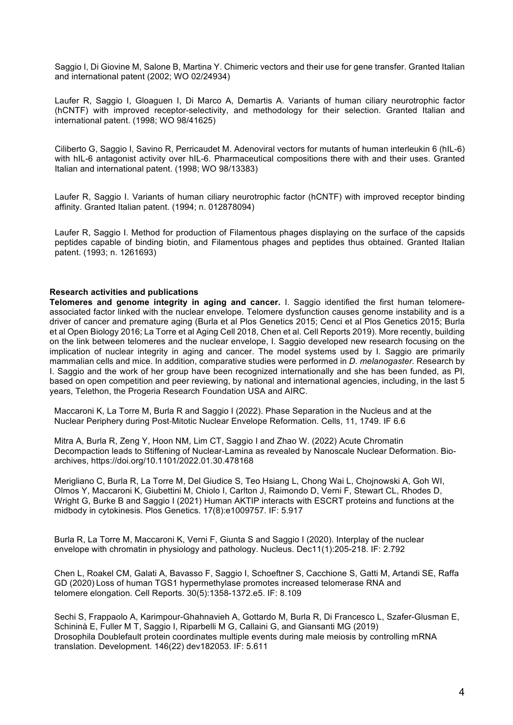Saggio I, Di Giovine M, Salone B, Martina Y. Chimeric vectors and their use for gene transfer. Granted Italian and international patent (2002; WO 02/24934)

Laufer R, Saggio I, Gloaguen I, Di Marco A, Demartis A. Variants of human ciliary neurotrophic factor (hCNTF) with improved receptor-selectivity, and methodology for their selection. Granted Italian and international patent. (1998; WO 98/41625)

Ciliberto G, Saggio I, Savino R, Perricaudet M. Adenoviral vectors for mutants of human interleukin 6 (hIL-6) with hIL-6 antagonist activity over hIL-6. Pharmaceutical compositions there with and their uses. Granted Italian and international patent. (1998; WO 98/13383)

Laufer R, Saggio I. Variants of human ciliary neurotrophic factor (hCNTF) with improved receptor binding affinity. Granted Italian patent. (1994; n. 012878094)

Laufer R, Saggio I. Method for production of Filamentous phages displaying on the surface of the capsids peptides capable of binding biotin, and Filamentous phages and peptides thus obtained. Granted Italian patent. (1993; n. 1261693)

#### **Research activities and publications**

**Telomeres and genome integrity in aging and cancer.** I. Saggio identified the first human telomereassociated factor linked with the nuclear envelope. Telomere dysfunction causes genome instability and is a driver of cancer and premature aging (Burla et al Plos Genetics 2015; Cenci et al Plos Genetics 2015; Burla et al Open Biology 2016; La Torre et al Aging Cell 2018, Chen et al. Cell Reports 2019). More recently, building on the link between telomeres and the nuclear envelope, I. Saggio developed new research focusing on the implication of nuclear integrity in aging and cancer. The model systems used by I. Saggio are primarily mammalian cells and mice. In addition, comparative studies were performed in *D. melanogaster*. Research by I. Saggio and the work of her group have been recognized internationally and she has been funded, as PI, based on open competition and peer reviewing, by national and international agencies, including, in the last 5 years, Telethon, the Progeria Research Foundation USA and AIRC.

Maccaroni K, La Torre M, Burla R and Saggio I (2022). Phase Separation in the Nucleus and at the Nuclear Periphery during Post-Mitotic Nuclear Envelope Reformation. Cells, 11, 1749. IF 6.6

Mitra A, Burla R, Zeng Y, Hoon NM, Lim CT, Saggio I and Zhao W. (2022) Acute Chromatin Decompaction leads to Stiffening of Nuclear-Lamina as revealed by Nanoscale Nuclear Deformation. Bioarchives, https://doi.org/10.1101/2022.01.30.478168

Merigliano C, Burla R, La Torre M, Del Giudice S, Teo Hsiang L, Chong Wai L, Chojnowski A, Goh WI, Olmos Y, Maccaroni K, Giubettini M, Chiolo I, Carlton J, Raimondo D, Verni F, Stewart CL, Rhodes D, Wright G, Burke B and Saggio I (2021) Human AKTIP interacts with ESCRT proteins and functions at the midbody in cytokinesis. Plos Genetics. 17(8):e1009757. IF: 5.917

Burla R, La Torre M, Maccaroni K, Verni F, Giunta S and Saggio I (2020). Interplay of the nuclear envelope with chromatin in physiology and pathology. Nucleus. Dec11(1):205-218. IF: 2.792

Chen L, Roakel CM, Galati A, Bavasso F, Saggio I, Schoeftner S, Cacchione S, Gatti M, Artandi SE, Raffa GD (2020) Loss of human TGS1 hypermethylase promotes increased telomerase RNA and telomere elongation. Cell Reports. 30(5):1358-1372.e5. IF: 8.109

Sechi S, Frappaolo A, Karimpour-Ghahnavieh A, Gottardo M, Burla R, Di Francesco L, Szafer-Glusman E, Schininà E, Fuller M T, Saggio I, Riparbelli M G, Callaini G, and Giansanti MG (2019) Drosophila Doublefault protein coordinates multiple events during male meiosis by controlling mRNA translation. Development. 146(22) dev182053. IF: 5.611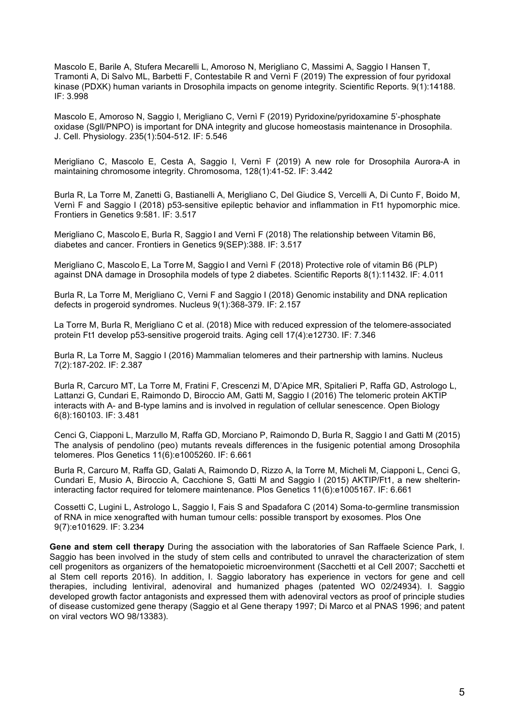Mascolo E, Barile A, Stufera Mecarelli L, Amoroso N, Merigliano C, Massimi A, Saggio I Hansen T, Tramonti A, Di Salvo ML, Barbetti F, Contestabile R and Vernì F (2019) The expression of four pyridoxal kinase (PDXK) human variants in Drosophila impacts on genome integrity. Scientific Reports. 9(1):14188. IF: 3.998

Mascolo E, Amoroso N, Saggio I, Merigliano C, Vernì F (2019) Pyridoxine/pyridoxamine 5'-phosphate oxidase (Sgll/PNPO) is important for DNA integrity and glucose homeostasis maintenance in Drosophila. J. Cell. Physiology. 235(1):504-512. IF: 5.546

Merigliano C, Mascolo E, Cesta A, Saggio I, Vernì F (2019) A new role for Drosophila Aurora-A in maintaining chromosome integrity. Chromosoma, 128(1):41-52. IF: 3.442

Burla R, La Torre M, Zanetti G, Bastianelli A, Merigliano C, Del Giudice S, Vercelli A, Di Cunto F, Boido M, Vernì F and Saggio I (2018) p53-sensitive epileptic behavior and inflammation in Ft1 hypomorphic mice. Frontiers in Genetics 9:581. IF: 3.517

Merigliano C, Mascolo E, Burla R, Saggio I and Vernì F (2018) The relationship between Vitamin B6, diabetes and cancer. Frontiers in Genetics 9(SEP):388. IF: 3.517

Merigliano C, Mascolo E, La Torre M, Saggio I and Vernì F (2018) Protective role of vitamin B6 (PLP) against DNA damage in Drosophila models of type 2 diabetes. Scientific Reports 8(1):11432. IF: 4.011

Burla R, La Torre M, Merigliano C, Verni F and Saggio I (2018) Genomic instability and DNA replication defects in progeroid syndromes. Nucleus 9(1):368-379. IF: 2.157

La Torre M, Burla R, Merigliano C et al. (2018) Mice with reduced expression of the telomere-associated protein Ft1 develop p53-sensitive progeroid traits. Aging cell 17(4):e12730. IF: 7.346

Burla R, La Torre M, Saggio I (2016) Mammalian telomeres and their partnership with lamins. Nucleus 7(2):187-202. IF: 2.387

Burla R, Carcuro MT, La Torre M, Fratini F, Crescenzi M, D'Apice MR, Spitalieri P, Raffa GD, Astrologo L, Lattanzi G, Cundari E, Raimondo D, Biroccio AM, Gatti M, Saggio I (2016) The telomeric protein AKTIP interacts with A- and B-type lamins and is involved in regulation of cellular senescence. Open Biology 6(8):160103. IF: 3.481

Cenci G, Ciapponi L, Marzullo M, Raffa GD, Morciano P, Raimondo D, Burla R, Saggio I and Gatti M (2015) The analysis of pendolino (peo) mutants reveals differences in the fusigenic potential among Drosophila telomeres. Plos Genetics 11(6):e1005260. IF: 6.661

Burla R, Carcuro M, Raffa GD, Galati A, Raimondo D, Rizzo A, la Torre M, Micheli M, Ciapponi L, Cenci G, Cundari E, Musio A, Biroccio A, Cacchione S, Gatti M and Saggio I (2015) AKTIP/Ft1, a new shelterininteracting factor required for telomere maintenance. Plos Genetics 11(6):e1005167. IF: 6.661

Cossetti C, Lugini L, Astrologo L, Saggio I, Fais S and Spadafora C (2014) Soma-to-germline transmission of RNA in mice xenografted with human tumour cells: possible transport by exosomes. Plos One 9(7):e101629. IF: 3.234

**Gene and stem cell therapy** During the association with the laboratories of San Raffaele Science Park, I. Saggio has been involved in the study of stem cells and contributed to unravel the characterization of stem cell progenitors as organizers of the hematopoietic microenvironment (Sacchetti et al Cell 2007; Sacchetti et al Stem cell reports 2016). In addition, I. Saggio laboratory has experience in vectors for gene and cell therapies, including lentiviral, adenoviral and humanized phages (patented WO 02/24934). I. Saggio developed growth factor antagonists and expressed them with adenoviral vectors as proof of principle studies of disease customized gene therapy (Saggio et al Gene therapy 1997; Di Marco et al PNAS 1996; and patent on viral vectors WO 98/13383).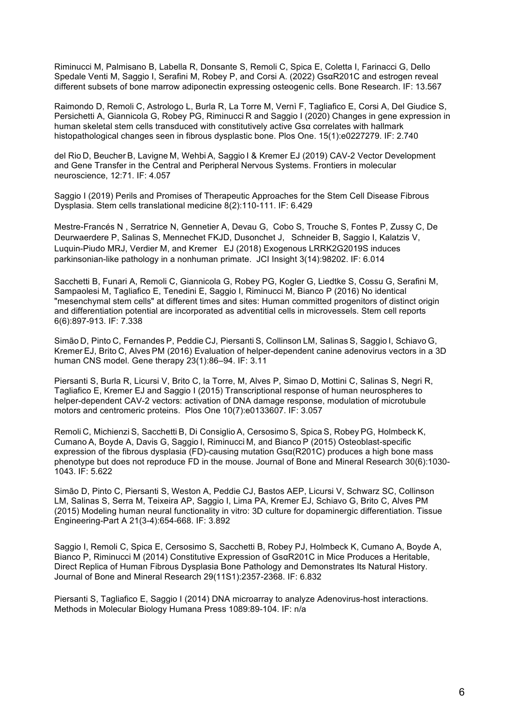Riminucci M, Palmisano B, Labella R, Donsante S, Remoli C, Spica E, Coletta I, Farinacci G, Dello Spedale Venti M, Saggio I, Serafini M, Robey P, and Corsi A. (2022) GsαR201C and estrogen reveal different subsets of bone marrow adiponectin expressing osteogenic cells. Bone Research. IF: 13.567

Raimondo D, Remoli C, Astrologo L, Burla R, La Torre M, Vernì F, Tagliafico E, Corsi A, Del Giudice S, Persichetti A, Giannicola G, Robey PG, Riminucci R and Saggio I (2020) Changes in gene expression in human skeletal stem cells transduced with constitutively active Gsα correlates with hallmark histopathological changes seen in fibrous dysplastic bone. Plos One. 15(1):e0227279. IF: 2.740

del Rio D, Beucher B, Lavigne M, Wehbi A, Saggio I & Kremer EJ (2019) CAV-2 Vector Development and Gene Transfer in the Central and Peripheral Nervous Systems. Frontiers in molecular neuroscience, 12:71. IF: 4.057

Saggio I (2019) Perils and Promises of Therapeutic Approaches for the Stem Cell Disease Fibrous Dysplasia. Stem cells translational medicine 8(2):110-111. IF: 6.429

Mestre-Francés N , Serratrice N, Gennetier A, Devau G, Cobo S, Trouche S, Fontes P, Zussy C, De Deurwaerdere P, Salinas S, Mennechet FKJD, Dusonchet J, Schneider B, Saggio I, Kalatzis V, Luquin-Piudo MRJ, Verdier M, and Kremer EJ (2018) Exogenous LRRK2G2019S induces parkinsonian-like pathology in a nonhuman primate. JCI Insight 3(14):98202. IF: 6.014

Sacchetti B, Funari A, Remoli C, Giannicola G, Robey PG, Kogler G, Liedtke S, Cossu G, Serafini M, Sampaolesi M, Tagliafico E, Tenedini E, Saggio I, Riminucci M, Bianco P (2016) No identical "mesenchymal stem cells" at different times and sites: Human committed progenitors of distinct origin and differentiation potential are incorporated as adventitial cells in microvessels. Stem cell reports 6(6):897-913. IF: 7.338

Simão D, Pinto C, Fernandes P, Peddie CJ, Piersanti S, Collinson LM, Salinas S, Saggio I, Schiavo G, Kremer EJ, Brito C, Alves PM (2016) Evaluation of helper-dependent canine adenovirus vectors in a 3D human CNS model. Gene therapy 23(1):86–94. IF: 3.11

Piersanti S, Burla R, Licursi V, Brito C, la Torre, M, Alves P, Simao D, Mottini C, Salinas S, Negri R, Tagliafico E, Kremer EJ and Saggio I (2015) Transcriptional response of human neurospheres to helper-dependent CAV-2 vectors: activation of DNA damage response, modulation of microtubule motors and centromeric proteins. Plos One 10(7):e0133607. IF: 3.057

Remoli C, Michienzi S, Sacchetti B, Di Consiglio A, Cersosimo S, Spica S, Robey PG, Holmbeck K, Cumano A, Boyde A, Davis G, Saggio I, Riminucci M, and Bianco P (2015) Osteoblast-specific expression of the fibrous dysplasia (FD)-causing mutation Gsα(R201C) produces a high bone mass phenotype but does not reproduce FD in the mouse. Journal of Bone and Mineral Research 30(6):1030- 1043. IF: 5.622

Simão D, Pinto C, Piersanti S, Weston A, Peddie CJ, Bastos AEP, Licursi V, Schwarz SC, Collinson LM, Salinas S, Serra M, Teixeira AP, Saggio I, Lima PA, Kremer EJ, Schiavo G, Brito C, Alves PM (2015) Modeling human neural functionality in vitro: 3D culture for dopaminergic differentiation. Tissue Engineering-Part A 21(3-4):654-668. IF: 3.892

Saggio I, Remoli C, Spica E, Cersosimo S, Sacchetti B, Robey PJ, Holmbeck K, Cumano A, Boyde A, Bianco P, Riminucci M (2014) Constitutive Expression of GsαR201C in Mice Produces a Heritable, Direct Replica of Human Fibrous Dysplasia Bone Pathology and Demonstrates Its Natural History. Journal of Bone and Mineral Research 29(11S1):2357-2368. IF: 6.832

Piersanti S, Tagliafico E, Saggio I (2014) DNA microarray to analyze Adenovirus-host interactions. Methods in Molecular Biology Humana Press 1089:89-104. IF: n/a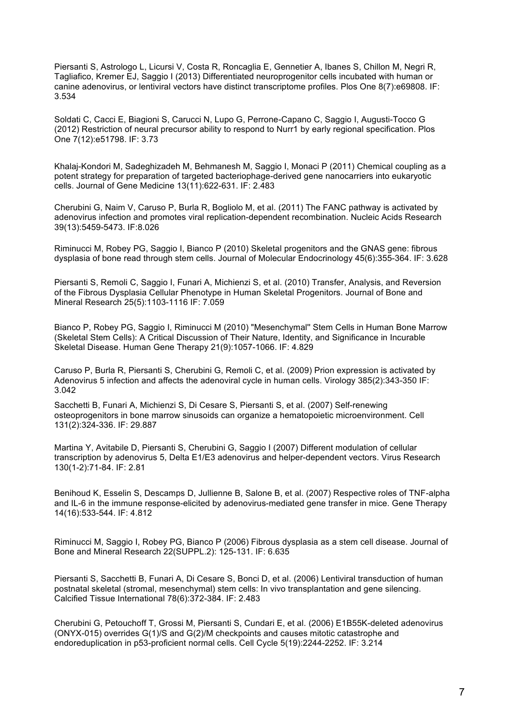Piersanti S, Astrologo L, Licursi V, Costa R, Roncaglia E, Gennetier A, Ibanes S, Chillon M, Negri R, Tagliafico, Kremer EJ, Saggio I (2013) Differentiated neuroprogenitor cells incubated with human or canine adenovirus, or lentiviral vectors have distinct transcriptome profiles. Plos One 8(7):e69808. IF: 3.534

Soldati C, Cacci E, Biagioni S, Carucci N, Lupo G, Perrone-Capano C, Saggio I, Augusti-Tocco G (2012) Restriction of neural precursor ability to respond to Nurr1 by early regional specification. Plos One 7(12):e51798. IF: 3.73

Khalaj-Kondori M, Sadeghizadeh M, Behmanesh M, Saggio I, Monaci P (2011) Chemical coupling as a potent strategy for preparation of targeted bacteriophage-derived gene nanocarriers into eukaryotic cells. Journal of Gene Medicine 13(11):622-631. IF: 2.483

Cherubini G, Naim V, Caruso P, Burla R, Bogliolo M, et al. (2011) The FANC pathway is activated by adenovirus infection and promotes viral replication-dependent recombination. Nucleic Acids Research 39(13):5459-5473. IF:8.026

Riminucci M, Robey PG, Saggio I, Bianco P (2010) Skeletal progenitors and the GNAS gene: fibrous dysplasia of bone read through stem cells. Journal of Molecular Endocrinology 45(6):355-364. IF: 3.628

Piersanti S, Remoli C, Saggio I, Funari A, Michienzi S, et al. (2010) Transfer, Analysis, and Reversion of the Fibrous Dysplasia Cellular Phenotype in Human Skeletal Progenitors. Journal of Bone and Mineral Research 25(5):1103-1116 IF: 7.059

Bianco P, Robey PG, Saggio I, Riminucci M (2010) "Mesenchymal'' Stem Cells in Human Bone Marrow (Skeletal Stem Cells): A Critical Discussion of Their Nature, Identity, and Significance in Incurable Skeletal Disease. Human Gene Therapy 21(9):1057-1066. IF: 4.829

Caruso P, Burla R, Piersanti S, Cherubini G, Remoli C, et al. (2009) Prion expression is activated by Adenovirus 5 infection and affects the adenoviral cycle in human cells. Virology 385(2):343-350 IF: 3.042

Sacchetti B, Funari A, Michienzi S, Di Cesare S, Piersanti S, et al. (2007) Self-renewing osteoprogenitors in bone marrow sinusoids can organize a hematopoietic microenvironment. Cell 131(2):324-336. IF: 29.887

Martina Y, Avitabile D, Piersanti S, Cherubini G, Saggio I (2007) Different modulation of cellular transcription by adenovirus 5, Delta E1/E3 adenovirus and helper-dependent vectors. Virus Research 130(1-2):71-84. IF: 2.81

Benihoud K, Esselin S, Descamps D, Jullienne B, Salone B, et al. (2007) Respective roles of TNF-alpha and IL-6 in the immune response-elicited by adenovirus-mediated gene transfer in mice. Gene Therapy 14(16):533-544. IF: 4.812

Riminucci M, Saggio I, Robey PG, Bianco P (2006) Fibrous dysplasia as a stem cell disease. Journal of Bone and Mineral Research 22(SUPPL.2): 125-131. IF: 6.635

Piersanti S, Sacchetti B, Funari A, Di Cesare S, Bonci D, et al. (2006) Lentiviral transduction of human postnatal skeletal (stromal, mesenchymal) stem cells: In vivo transplantation and gene silencing. Calcified Tissue International 78(6):372-384. IF: 2.483

Cherubini G, Petouchoff T, Grossi M, Piersanti S, Cundari E, et al. (2006) E1B55K-deleted adenovirus (ONYX-015) overrides G(1)/S and G(2)/M checkpoints and causes mitotic catastrophe and endoreduplication in p53-proficient normal cells. Cell Cycle 5(19):2244-2252. IF: 3.214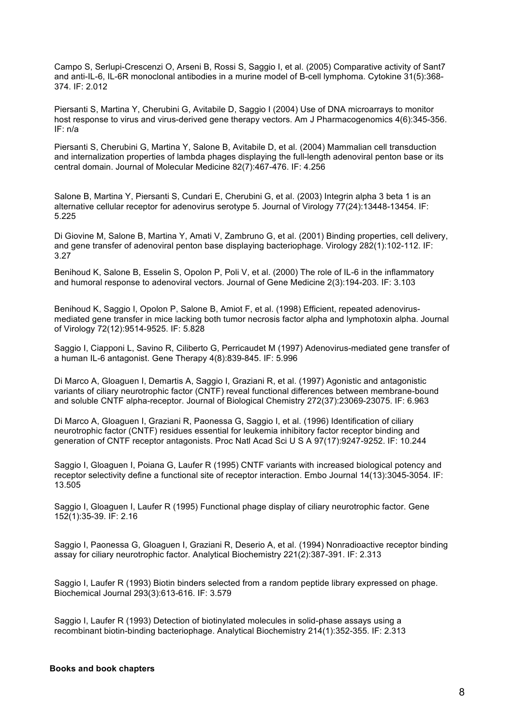Campo S, Serlupi-Crescenzi O, Arseni B, Rossi S, Saggio I, et al. (2005) Comparative activity of Sant7 and anti-IL-6, IL-6R monoclonal antibodies in a murine model of B-cell lymphoma. Cytokine 31(5):368- 374. IF: 2.012

Piersanti S, Martina Y, Cherubini G, Avitabile D, Saggio I (2004) Use of DNA microarrays to monitor host response to virus and virus-derived gene therapy vectors. Am J Pharmacogenomics 4(6):345-356. IF: n/a

Piersanti S, Cherubini G, Martina Y, Salone B, Avitabile D, et al. (2004) Mammalian cell transduction and internalization properties of lambda phages displaying the full-length adenoviral penton base or its central domain. Journal of Molecular Medicine 82(7):467-476. IF: 4.256

Salone B, Martina Y, Piersanti S, Cundari E, Cherubini G, et al. (2003) Integrin alpha 3 beta 1 is an alternative cellular receptor for adenovirus serotype 5. Journal of Virology 77(24):13448-13454. IF: 5.225

Di Giovine M, Salone B, Martina Y, Amati V, Zambruno G, et al. (2001) Binding properties, cell delivery, and gene transfer of adenoviral penton base displaying bacteriophage. Virology 282(1):102-112. IF: 3.27

Benihoud K, Salone B, Esselin S, Opolon P, Poli V, et al. (2000) The role of IL-6 in the inflammatory and humoral response to adenoviral vectors. Journal of Gene Medicine 2(3):194-203. IF: 3.103

Benihoud K, Saggio I, Opolon P, Salone B, Amiot F, et al. (1998) Efficient, repeated adenovirusmediated gene transfer in mice lacking both tumor necrosis factor alpha and lymphotoxin alpha. Journal of Virology 72(12):9514-9525. IF: 5.828

Saggio I, Ciapponi L, Savino R, Ciliberto G, Perricaudet M (1997) Adenovirus-mediated gene transfer of a human IL-6 antagonist. Gene Therapy 4(8):839-845. IF: 5.996

Di Marco A, Gloaguen I, Demartis A, Saggio I, Graziani R, et al. (1997) Agonistic and antagonistic variants of ciliary neurotrophic factor (CNTF) reveal functional differences between membrane-bound and soluble CNTF alpha-receptor. Journal of Biological Chemistry 272(37):23069-23075. IF: 6.963

Di Marco A, Gloaguen I, Graziani R, Paonessa G, Saggio I, et al. (1996) Identification of ciliary neurotrophic factor (CNTF) residues essential for leukemia inhibitory factor receptor binding and generation of CNTF receptor antagonists. Proc Natl Acad Sci U S A 97(17):9247-9252. IF: 10.244

Saggio I, Gloaguen I, Poiana G, Laufer R (1995) CNTF variants with increased biological potency and receptor selectivity define a functional site of receptor interaction. Embo Journal 14(13):3045-3054. IF: 13.505

Saggio I, Gloaguen I, Laufer R (1995) Functional phage display of ciliary neurotrophic factor. Gene 152(1):35-39. IF: 2.16

Saggio I, Paonessa G, Gloaguen I, Graziani R, Deserio A, et al. (1994) Nonradioactive receptor binding assay for ciliary neurotrophic factor. Analytical Biochemistry 221(2):387-391. IF: 2.313

Saggio I, Laufer R (1993) Biotin binders selected from a random peptide library expressed on phage. Biochemical Journal 293(3):613-616. IF: 3.579

Saggio I, Laufer R (1993) Detection of biotinylated molecules in solid-phase assays using a recombinant biotin-binding bacteriophage. Analytical Biochemistry 214(1):352-355. IF: 2.313

#### **Books and book chapters**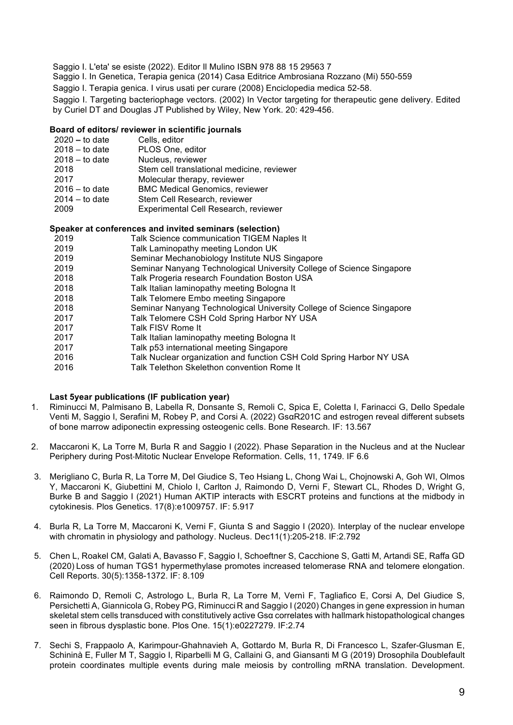Saggio I. L'eta' se esiste (2022). Editor Il Mulino ISBN 978 88 15 29563 7

Saggio I. In Genetica, Terapia genica (2014) Casa Editrice Ambrosiana Rozzano (Mi) 550-559

Saggio I. Terapia genica. I virus usati per curare (2008) Enciclopedia medica 52-58.

Saggio I. Targeting bacteriophage vectors. (2002) In Vector targeting for therapeutic gene delivery. Edited by Curiel DT and Douglas JT Published by Wiley, New York. 20: 429-456.

#### **Board of editors/ reviewer in scientific journals**

| $2020 -$ to date | Cells, editor                              |
|------------------|--------------------------------------------|
| $2018 -$ to date | PLOS One, editor                           |
| $2018 -$ to date | Nucleus, reviewer                          |
| 2018             | Stem cell translational medicine, reviewer |
| 2017             | Molecular therapy, reviewer                |
| $2016 -$ to date | <b>BMC Medical Genomics, reviewer</b>      |
| $2014 -$ to date | Stem Cell Research, reviewer               |
| 2009             | Experimental Cell Research, reviewer       |
|                  |                                            |

#### **Speaker at conferences and invited seminars (selection)**

| 2019<br>Talk Laminopathy meeting London UK<br>2019<br>Seminar Mechanobiology Institute NUS Singapore<br>Seminar Nanyang Technological University College of Science Singapore<br>2019<br>2018<br>Talk Progeria research Foundation Boston USA<br>2018<br>Talk Italian laminopathy meeting Bologna It<br>2018<br>Talk Telomere Embo meeting Singapore<br>2018<br>Seminar Nanyang Technological University College of Science Singapore<br>Talk Telomere CSH Cold Spring Harbor NY USA<br>2017<br>Talk FISV Rome It<br>2017<br>2017<br>Talk Italian laminopathy meeting Bologna It<br>2017<br>Talk p53 international meeting Singapore | 2019 | Talk Science communication TIGEM Naples It                           |
|--------------------------------------------------------------------------------------------------------------------------------------------------------------------------------------------------------------------------------------------------------------------------------------------------------------------------------------------------------------------------------------------------------------------------------------------------------------------------------------------------------------------------------------------------------------------------------------------------------------------------------------|------|----------------------------------------------------------------------|
|                                                                                                                                                                                                                                                                                                                                                                                                                                                                                                                                                                                                                                      |      |                                                                      |
|                                                                                                                                                                                                                                                                                                                                                                                                                                                                                                                                                                                                                                      |      |                                                                      |
|                                                                                                                                                                                                                                                                                                                                                                                                                                                                                                                                                                                                                                      |      |                                                                      |
|                                                                                                                                                                                                                                                                                                                                                                                                                                                                                                                                                                                                                                      |      |                                                                      |
|                                                                                                                                                                                                                                                                                                                                                                                                                                                                                                                                                                                                                                      |      |                                                                      |
|                                                                                                                                                                                                                                                                                                                                                                                                                                                                                                                                                                                                                                      |      |                                                                      |
|                                                                                                                                                                                                                                                                                                                                                                                                                                                                                                                                                                                                                                      |      |                                                                      |
|                                                                                                                                                                                                                                                                                                                                                                                                                                                                                                                                                                                                                                      |      |                                                                      |
|                                                                                                                                                                                                                                                                                                                                                                                                                                                                                                                                                                                                                                      |      |                                                                      |
|                                                                                                                                                                                                                                                                                                                                                                                                                                                                                                                                                                                                                                      |      |                                                                      |
|                                                                                                                                                                                                                                                                                                                                                                                                                                                                                                                                                                                                                                      |      |                                                                      |
|                                                                                                                                                                                                                                                                                                                                                                                                                                                                                                                                                                                                                                      | 2016 | Talk Nuclear organization and function CSH Cold Spring Harbor NY USA |

2016 Talk Telethon Skelethon convention Rome It

#### **Last 5year publications (IF publication year)**

- 1. Riminucci M, Palmisano B, Labella R, Donsante S, Remoli C, Spica E, Coletta I, Farinacci G, Dello Spedale Venti M, Saggio I, Serafini M, Robey P, and Corsi A. (2022) GsαR201C and estrogen reveal different subsets of bone marrow adiponectin expressing osteogenic cells. Bone Research. IF: 13.567
- 2. Maccaroni K, La Torre M, Burla R and Saggio I (2022). Phase Separation in the Nucleus and at the Nuclear Periphery during Post-Mitotic Nuclear Envelope Reformation. Cells, 11, 1749. IF 6.6
- 3. Merigliano C, Burla R, La Torre M, Del Giudice S, Teo Hsiang L, Chong Wai L, Chojnowski A, Goh WI, Olmos Y, Maccaroni K, Giubettini M, Chiolo I, Carlton J, Raimondo D, Verni F, Stewart CL, Rhodes D, Wright G, Burke B and Saggio I (2021) Human AKTIP interacts with ESCRT proteins and functions at the midbody in cytokinesis. Plos Genetics. 17(8):e1009757. IF: 5.917
- 4. Burla R, La Torre M, Maccaroni K, Verni F, Giunta S and Saggio I (2020). Interplay of the nuclear envelope with chromatin in physiology and pathology. Nucleus. Dec11(1):205-218. IF:2.792
- 5. Chen L, Roakel CM, Galati A, Bavasso F, Saggio I, Schoeftner S, Cacchione S, Gatti M, Artandi SE, Raffa GD (2020) Loss of human TGS1 hypermethylase promotes increased telomerase RNA and telomere elongation. Cell Reports. 30(5):1358-1372. IF: 8.109
- 6. Raimondo D, Remoli C, Astrologo L, Burla R, La Torre M, Vernì F, Tagliafico E, Corsi A, Del Giudice S, Persichetti A, Giannicola G, Robey PG, Riminucci R and Saggio I (2020) Changes in gene expression in human skeletal stem cells transduced with constitutively active Gsα correlates with hallmark histopathological changes seen in fibrous dysplastic bone. Plos One. 15(1):e0227279. IF:2.74
- 7. Sechi S, Frappaolo A, Karimpour-Ghahnavieh A, Gottardo M, Burla R, Di Francesco L, Szafer-Glusman E, Schininà E, Fuller M T, Saggio I, Riparbelli M G, Callaini G, and Giansanti M G (2019) Drosophila Doublefault protein coordinates multiple events during male meiosis by controlling mRNA translation. Development.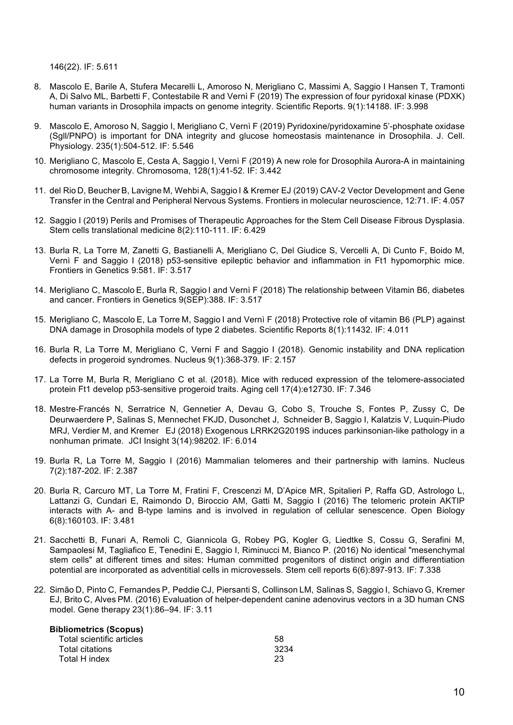146(22). IF: 5.611

- 8. Mascolo E, Barile A, Stufera Mecarelli L, Amoroso N, Merigliano C, Massimi A, Saggio I Hansen T, Tramonti A, Di Salvo ML, Barbetti F, Contestabile R and Vernì F (2019) The expression of four pyridoxal kinase (PDXK) human variants in Drosophila impacts on genome integrity. Scientific Reports. 9(1):14188. IF: 3.998
- 9. Mascolo E, Amoroso N, Saggio I, Merigliano C, Vernì F (2019) Pyridoxine/pyridoxamine 5'-phosphate oxidase (Sgll/PNPO) is important for DNA integrity and glucose homeostasis maintenance in Drosophila. J. Cell. Physiology. 235(1):504-512. IF: 5.546
- 10. Merigliano C, Mascolo E, Cesta A, Saggio I, Vernì F (2019) A new role for Drosophila Aurora-A in maintaining chromosome integrity. Chromosoma, 128(1):41-52. IF: 3.442
- 11. del Rio D, BeucherB, Lavigne M, WehbiA, Saggio I & Kremer EJ (2019) CAV-2 Vector Development and Gene Transfer in the Central and Peripheral Nervous Systems. Frontiers in molecular neuroscience, 12:71. IF: 4.057
- 12. Saggio I (2019) Perils and Promises of Therapeutic Approaches for the Stem Cell Disease Fibrous Dysplasia. Stem cells translational medicine 8(2):110-111. IF: 6.429
- 13. Burla R, La Torre M, Zanetti G, Bastianelli A, Merigliano C, Del Giudice S, Vercelli A, Di Cunto F, Boido M, Vernì F and Saggio I (2018) p53-sensitive epileptic behavior and inflammation in Ft1 hypomorphic mice. Frontiers in Genetics 9:581. IF: 3.517
- 14. Merigliano C, Mascolo E, Burla R, Saggio I and Vernì F (2018) The relationship between Vitamin B6, diabetes and cancer. Frontiers in Genetics 9(SEP):388. IF: 3.517
- 15. Merigliano C, Mascolo E, La Torre M, Saggio I and Vernì F (2018) Protective role of vitamin B6 (PLP) against DNA damage in Drosophila models of type 2 diabetes. Scientific Reports 8(1):11432. IF: 4.011
- 16. Burla R, La Torre M, Merigliano C, Verni F and Saggio I (2018). Genomic instability and DNA replication defects in progeroid syndromes. Nucleus 9(1):368-379. IF: 2.157
- 17. La Torre M, Burla R, Merigliano C et al. (2018). Mice with reduced expression of the telomere-associated protein Ft1 develop p53-sensitive progeroid traits. Aging cell 17(4):e12730. IF: 7.346
- 18. Mestre-Francés N, Serratrice N, Gennetier A, Devau G, Cobo S, Trouche S, Fontes P, Zussy C, De Deurwaerdere P, Salinas S, Mennechet FKJD, Dusonchet J, Schneider B, Saggio I, Kalatzis V, Luquin-Piudo MRJ, Verdier M, and Kremer EJ (2018) Exogenous LRRK2G2019S induces parkinsonian-like pathology in a nonhuman primate. JCI Insight 3(14):98202. IF: 6.014
- 19. Burla R, La Torre M, Saggio I (2016) Mammalian telomeres and their partnership with lamins. Nucleus 7(2):187-202. IF: 2.387
- 20. Burla R, Carcuro MT, La Torre M, Fratini F, Crescenzi M, D'Apice MR, Spitalieri P, Raffa GD, Astrologo L, Lattanzi G, Cundari E, Raimondo D, Biroccio AM, Gatti M, Saggio I (2016) The telomeric protein AKTIP interacts with A- and B-type lamins and is involved in regulation of cellular senescence. Open Biology 6(8):160103. IF: 3.481
- 21. Sacchetti B, Funari A, Remoli C, Giannicola G, Robey PG, Kogler G, Liedtke S, Cossu G, Serafini M, Sampaolesi M, Tagliafico E, Tenedini E, Saggio I, Riminucci M, Bianco P. (2016) No identical "mesenchymal stem cells" at different times and sites: Human committed progenitors of distinct origin and differentiation potential are incorporated as adventitial cells in microvessels. Stem cell reports 6(6):897-913. IF: 7.338
- 22. Simão D, Pinto C, Fernandes P, Peddie CJ, Piersanti S, Collinson LM, Salinas S, Saggio I, Schiavo G, Kremer EJ, Brito C, Alves PM. (2016) Evaluation of helper-dependent canine adenovirus vectors in a 3D human CNS model. Gene therapy 23(1):86–94. IF: 3.11

| <b>Bibliometrics (Scopus)</b> |      |
|-------------------------------|------|
| Total scientific articles     | 58   |
| Total citations               | 3234 |
| Total H index                 | 23   |